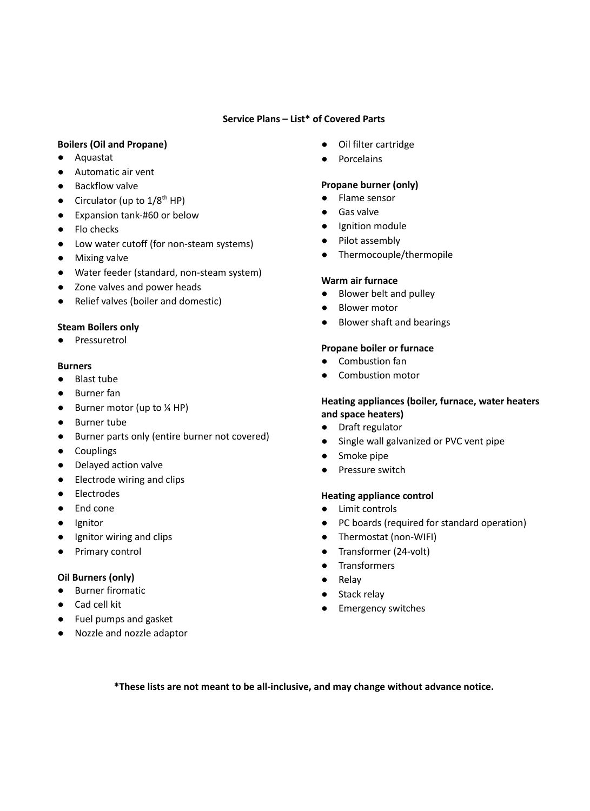## **Service Plans – List\* of Covered Parts**

## **Boilers (Oil and Propane)**

- Aquastat
- Automatic air vent
- Backflow valve
- $\bullet$  Circulator (up to  $1/8^{th}$  HP)
- Expansion tank-#60 or below
- Flo checks
- Low water cutoff (for non-steam systems)
- Mixing valve
- Water feeder (standard, non-steam system)
- Zone valves and power heads
- Relief valves (boiler and domestic)

### **Steam Boilers only**

● Pressuretrol

#### **Burners**

- Blast tube
- Burner fan
- $\bullet$  Burner motor (up to  $\frac{1}{4}$  HP)
- Burner tube
- Burner parts only (entire burner not covered)
- Couplings
- Delayed action valve
- Electrode wiring and clips
- Electrodes
- End cone
- Ignitor
- Ignitor wiring and clips
- Primary control

### **Oil Burners (only)**

- Burner firomatic
- Cad cell kit
- Fuel pumps and gasket
- Nozzle and nozzle adaptor
- Oil filter cartridge
- Porcelains

#### **Propane burner (only)**

- Flame sensor
- Gas valve
- Ignition module
- Pilot assembly
- Thermocouple/thermopile

#### **Warm air furnace**

- Blower belt and pulley
- Blower motor
- Blower shaft and bearings

#### **Propane boiler or furnace**

- Combustion fan
- Combustion motor

#### **Heating appliances (boiler, furnace, water heaters and space heaters)**

- Draft regulator
- Single wall galvanized or PVC vent pipe
- Smoke pipe
- Pressure switch

### **Heating appliance control**

- Limit controls
- PC boards (required for standard operation)
- Thermostat (non-WIFI)
- Transformer (24-volt)
- Transformers
- Relay
- Stack relay
- Emergency switches

**\*These lists are not meant to be all-inclusive, and may change without advance notice.**